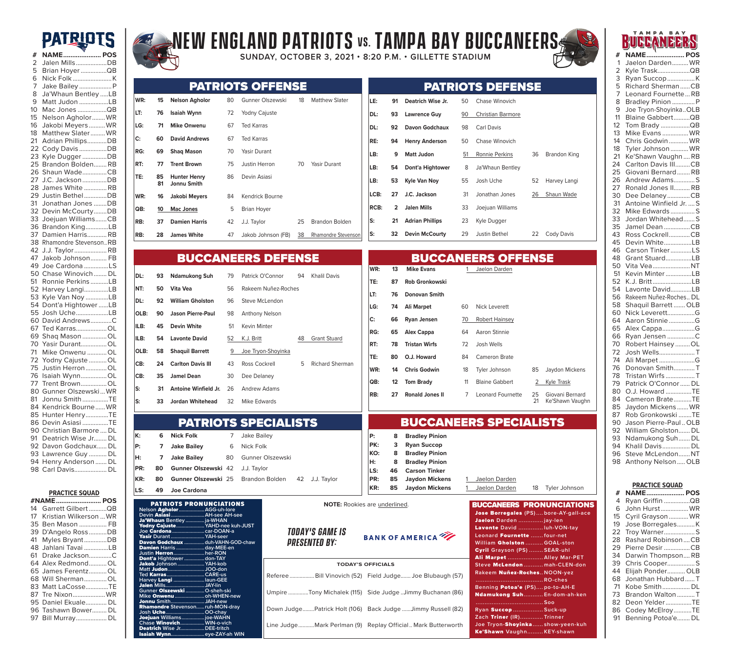## **PATRIOTS**



**PRACTICE SQUAD #NAME......................... POS** Garrett Gilbert ...........QB Kristian Wilkerson ...WR Ben Mason ................. FB D'Angelo Ross...........DB Myles Bryant..............DB Jahlani Tavai ...............LB Drake Jackson..............C Alex Redmond...........OL James Ferentz...........OL Will Sherman..............OL Matt LaCosse..............TE Tre Nixon....................WR Daniel Ekuale............. DL Tashawn Bower......... DL Bill Murray................... DL

# **New England Patriots vs. TAMPA BAY BUCCANEERS**

**SUNDAY, OCTOBER 3, 2021 • 8:20 P.M. • GILLETTE STADIUM** 



**ISE** 

**LB: 9 Matt Judon** 51 Ronnie Perkins 36 Brandon King

52 Harvey Langi 26 Shaun Wade

22 Cody Davis

|     |          |                                    |    | <b>PATRIOTS OFFENSE</b> |    |                       |             |                |                        |    | <b>PATRIOTS DEFEN</b>    |
|-----|----------|------------------------------------|----|-------------------------|----|-----------------------|-------------|----------------|------------------------|----|--------------------------|
| WR: | 15       | <b>Nelson Agholor</b>              | 80 | Gunner Olszewski        | 18 | <b>Matthew Slater</b> | LE:         | 91             | Deatrich Wise Jr.      | 50 | Chase Winovich           |
| LT: | 76       | <b>Isaiah Wynn</b>                 | 72 | Yodny Cajuste           |    |                       | DL:         | 93             | <b>Lawrence Guy</b>    | 90 | <b>Christian Barmore</b> |
| LG: | 71       | <b>Mike Onwenu</b>                 | 67 | <b>Ted Karras</b>       |    |                       | DL:         | 92             | Davon Godchaux         | 98 | Carl Davis               |
| C:  | 60       | <b>David Andrews</b>               | 67 | <b>Ted Karras</b>       |    |                       | RE:         | 94             | <b>Henry Anderson</b>  | 50 | Chase Winovich           |
| RG: | 69       | <b>Shaq Mason</b>                  | 70 | Yasir Durant            |    |                       | LB:         | 9              | <b>Matt Judon</b>      | 51 | Ronnie Perkins           |
| RT: | 77       | <b>Trent Brown</b>                 | 75 | Justin Herron           | 70 | Yasir Durant          | LB:         | 54             | Dont'a Hightower       | 8  | Ja'Whaun Bentley         |
| TE: | 85<br>81 | <b>Hunter Henry</b><br>Jonnu Smith | 86 | Devin Asiasi            |    |                       | LB:         | 53             | Kyle Van Noy           | 55 | Josh Uche                |
| WR: | 16       | Jakobi Meyers                      | 84 | Kendrick Bourne         |    |                       | LCB:        | 27             | J.C. Jackson           | 31 | Jonathan Jones           |
| QB: | 10       | <b>Mac Jones</b>                   | 5  | Brian Hoyer             |    |                       | <b>RCB:</b> | $\overline{2}$ | <b>Jalen Mills</b>     | 33 | Joejuan Williams         |
| RB: | 37       | <b>Damien Harris</b>               | 42 | J.J. Taylor             | 25 | Brandon Bolden        | ls:         | 21             | <b>Adrian Phillips</b> | 23 | Kyle Dugger              |
| RB: | 28       | <b>James White</b>                 | 47 | Jakob Johnson (FB)      | 38 | Rhamondre Stevenson   | ls:         | 32             | <b>Devin McCourty</b>  | 29 | <b>Justin Bethel</b>     |

| <b>BUCCANEERS DEFENSE</b> |    |                             |    |                       |    |                        | <b>BUCCANEERS OFFENSE</b> |    |                        |    |                          |              |                 |
|---------------------------|----|-----------------------------|----|-----------------------|----|------------------------|---------------------------|----|------------------------|----|--------------------------|--------------|-----------------|
| IDL:                      | 93 | <b>Ndamukong Suh</b>        | 79 | Patrick O'Connor      | 94 | Khalil Davis           | WR:                       | 13 | <b>Mike Evans</b>      |    | Jaelon Darden            |              |                 |
|                           |    |                             |    |                       |    |                        | TE:                       | 87 | <b>Rob Gronkowski</b>  |    |                          |              |                 |
| NT:                       | 50 | Vita Vea                    | 56 | Rakeem Nuñez-Roches   |    |                        | ILT:                      | 76 | <b>Donovan Smith</b>   |    |                          |              |                 |
| DL:                       | 92 | <b>William Gholston</b>     | 96 | Steve McLendon        |    |                        |                           |    |                        |    |                          |              |                 |
|                           |    |                             |    |                       |    |                        | LG:                       | 74 | Ali Marpet             | 60 | Nick Leverett            |              |                 |
| OLB:                      | 90 | <b>Jason Pierre-Paul</b>    | 98 | <b>Anthony Nelson</b> |    |                        | C:                        | 66 | Ryan Jensen            | 70 | <b>Robert Hainsey</b>    |              |                 |
| ILB:                      | 45 | <b>Devin White</b>          | 51 | Kevin Minter          |    |                        | RG:                       | 65 | Alex Cappa             | 64 | Aaron Stinnie            |              |                 |
| ILB:                      | 54 | <b>Lavonte David</b>        | 52 | K.J. Britt            | 48 | <b>Grant Stuard</b>    |                           |    |                        |    |                          |              |                 |
|                           |    |                             |    |                       |    |                        | RT:                       | 78 | <b>Tristan Wirfs</b>   | 72 | Josh Wells               |              |                 |
| OLB:                      | 58 | <b>Shaquil Barrett</b>      | 9  | Joe Tryon-Shoyinka    |    |                        | TE:                       | 80 | O.J. Howard            | 84 | Cameron Brate            |              |                 |
| CB:                       | 24 | <b>Carlton Davis III</b>    | 43 | <b>Ross Cockrell</b>  | 5  | <b>Richard Sherman</b> | WR:                       | 14 |                        |    |                          |              |                 |
| ICB:                      | 35 | <b>Jamel Dean</b>           | 30 | Dee Delaney           |    |                        |                           |    | <b>Chris Godwin</b>    | 18 | Tyler Johnson            | 85           | Jaydon Mickens  |
|                           |    |                             |    |                       |    |                        | <b>QB:</b>                | 12 | <b>Tom Brady</b>       | 11 | <b>Blaine Gabbert</b>    | $\mathbf{2}$ | Kyle Trask      |
| ls:                       | 31 | <b>Antoine Winfield Jr.</b> | 26 | Andrew Adams          |    |                        | RB:                       | 27 | <b>Ronald Jones II</b> |    | <b>Leonard Fournette</b> | 25           | Giovani Bernard |
| ls:                       | 33 | <b>Jordan Whitehead</b>     | 32 | Mike Edwards          |    |                        |                           |    |                        |    |                          | 21           | Ke'Shawn Vaughn |

BUCCANEERS SPECIALISTS

**KR: 85 Jaydon Mickens** 1 Jaelon Darden 18 Tyler Johnson

| P:  | 8  | <b>Bradley Pinion</b> |               |
|-----|----|-----------------------|---------------|
| PK: | 3  | <b>Ryan Succop</b>    |               |
| KO: | 8. | <b>Bradley Pinion</b> |               |
| IH: | 8  | <b>Bradley Pinion</b> |               |
| LS: |    | 46 Carson Tinker      |               |
| PR: |    | 85 Jaydon Mickens     | Jaelon Darden |
|     |    |                       |               |

|  | <b>NOTE:</b> Rookies are underlined. |
|--|--------------------------------------|
|  |                                      |

*Today's game is presented by:*

PATRIOTS SPECIALISTS

**KR: <sup>80</sup> Gunner Olszewski** <sup>25</sup> Brandon Bolden <sup>42</sup> J.J. Taylor

**PATRIOTS PRONUNCIATIONS**<br>on **Agholor..................**AGG-uh-lore

**K: 6 Nick Folk** 7 Jake Bailey **P: 7 Jake Bailey** 6 Nick Folk

**PR: 80 Gunner Olszewski** 42 J.J. Taylor

**H: 7 Jake Bailey** 80 Gunner Olszewski

Yodny Cajuste**.....................YAHD-nee kuh-JUST Yodny Cajuste.....<sup>.</sup>..................YAHD-nee ku<br>Joe <b>Cardona** ...............................car-DOAN-a

Davon Godchaux **...............duh-VAHN-GOD-chaw nmien** Harris .......................day-MEE-en<br>stin **Herron** .........................her-RON

**Ted** Karras**............................CARE-us**

.<br>. JAH-new<br>. ruh-MON-dray

Isaiah Wynn**.........................eye-ZAY-ah WIN**

**Devin** Asiasi**.........................AH-see AH-see**

**LS: 49 Joe Cardona** 

**Justin** Herron**.......................her-RON** Dont'a **Hightower...............don-TAY** Jakob **Johnson....................YAH-kob Matt** Judon**...........................JOO-don** 

**Harvey** Langi **.......................laun-GEE** Jalen **Mills.............................JAY-lin Gunner** Olszewski **..............O-sheh-ski Mike** Onwenu **......................oh-WHEN-new** 

Rhamondre **Stevenson......ruh-MON-dray Josh** Uche**.............................OO-chay** 

**Chase** Winovich**..................WIN-o-vich**  Deatrich **Wise Jr..................DEE-tritch** 

elson **Agholor**….<br>evin **Asiasi**……….

**/asir** Durant..........<br>**Davon Godch<u>aux</u>** 

**juan** Williams

Ja'Whaun **Bentley ..............ja-WHAN** 

## **BANK OF AMERICA**

| <b>TODAY'S OFFICIALS</b>                                     |  |  |  |  |  |  |  |
|--------------------------------------------------------------|--|--|--|--|--|--|--|
| Referee  Bill Vinovich (52) Field Judge Joe Blubaugh (57)    |  |  |  |  |  |  |  |
| Umpire Tony Michalek (115) Side Judge Jimmy Buchanan (86)    |  |  |  |  |  |  |  |
| Down Judge Patrick Holt (106) Back Judge  Jimmy Russell (82) |  |  |  |  |  |  |  |
| Line JudgeMark Perlman (9) Replay Official Mark Butterworth  |  |  |  |  |  |  |  |

| <b>BUCCANEERS PRONUNCIATIONS</b>     |
|--------------------------------------|
| Jose Borregales (PS)bore-AY-gall-ace |
| Jaelon Darden  jay-len               |
| Lavonte David luh-VON-tay            |
| Leonard Fournette  four-net          |
| William Gholston  GOAL-ston          |
| Cyril Grayson (PS)  SEAR-uhl         |
| Ali Marpet  Alley Mar-PET            |
| Steve McLendon  mah-CLEN-don         |
| Rakeem Nuñez-RochesNOON-yez          |
| RO-ches                              |
| Benning Potoa'e (PS)po-to-AH-E       |
| Ndamukong Suh En-dom-ah-ken          |
|                                      |
| Ryan Succop  Suck-up                 |
| Zach Triner (IR)Trinner              |
| Joe Tryon-Shoyinkashow-yeen-kuh      |
| Ke'Shawn VaughnKEY-shawn             |

|                 | <u>a a a di</u><br>sa se se |  |
|-----------------|-----------------------------|--|
| #               | <b>NAME POS</b>             |  |
| 1               | Jaelon Darden WR            |  |
| 2               | Kyle TraskQB                |  |
| 3               | Ryan SuccopK                |  |
| 5               | Richard ShermanCB           |  |
| -7              | Leonard FournetteRB         |  |
| 8               | Bradley Pinion  P           |  |
| 9               | Joe Tryon-ShoyinkaOLB       |  |
| 11              | Blaine GabbertQB            |  |
| 12              | Tom Brady QB                |  |
| 13              | Mike Evans  WR              |  |
| 14              |                             |  |
|                 | Chris Godwin  WR            |  |
| 18              | Tyler Johnson  WR           |  |
| $\overline{21}$ | Ke'Shawn VaughnRB           |  |
| 24              | Carlton Davis IIICB         |  |
| 25              | Giovani BernardRB           |  |
| 26              | Andrew AdamsS               |  |
| 27              | Ronald Jones II RB          |  |
| 30              | Dee DelaneyCB               |  |
| 31              | Antoine Winfield Jr.  S     |  |
| 32              | Mike Edwards S              |  |
| 33              | Jordan WhiteheadS           |  |
| 35              | Jamel Dean CB               |  |
| 43              | Ross CockrellCB             |  |
| 45              | Devin WhiteLB               |  |
| 46              | Carson TinkerLS             |  |
| 48              | Grant StuardLB              |  |
| 50              | Vita VeaNT                  |  |
| 51              | Kevin MinterLB              |  |
| 52              |                             |  |
|                 | K.J. BrittLB                |  |
| 54              | Lavonte DavidLB             |  |
| 56              | Rakeem Nuñez-Roches DL      |  |
| 58              | Shaquil Barrett  OLB        |  |
| 60              | Nick LeverettG              |  |
| 64              | Aaron StinnieG              |  |
| 65              | Alex CappaG                 |  |
| 66              | Ryan Jensen C               |  |
| 70              | Robert Hainsey OL           |  |
| 72              | Josh WellsT                 |  |
| 74              | Ali Marpet G                |  |
| 76              | Donovan SmithT              |  |
| 78              | Tristan Wirfs T             |  |
| 79              | Patrick O'Connor  DL        |  |
| 80              | O.J. Howard TE              |  |
| 84              | Cameron BrateTE             |  |
| 85              | Jaydon Mickens WR           |  |
| 87              | Rob Gronkowski TE           |  |
|                 | Jason Pierre-Paul OLB       |  |
| 90              |                             |  |
| 92              | William Gholston DL         |  |
| 93              | Ndamukong Suh DL            |  |
| 94              | Khalil Davis DL             |  |
| 96              | Steve McLendon NT           |  |
| 98              | Anthony Nelson OLB          |  |
|                 |                             |  |
|                 |                             |  |

**TAMPA BAY** 

|    | <b>PRACTICE SQUAD</b> |
|----|-----------------------|
| #  | <b>NAME POS</b>       |
| 4  | Ryan Griffin QB       |
| 6  | John HurstWR          |
| 15 | Cyril Grayson  WR     |
| 19 | Jose BorregalesK      |
| 22 | Troy WarnerS          |
| 28 | Rashard RobinsonCB    |
| 29 | Pierre Desir CB       |
| 34 | Darwin ThompsonRB     |
| 39 | Chris CooperS         |
| 44 | Elijah Ponder OLB     |
| 68 | Jonathan Hubbard  T   |
| 71 | Kobe Smith DL         |
| 73 | Brandon Walton T      |
| 82 | Deon Yelder……………TE    |
| 86 | Codey McElroyTE       |
| 91 | Benning Potoa'e DL    |